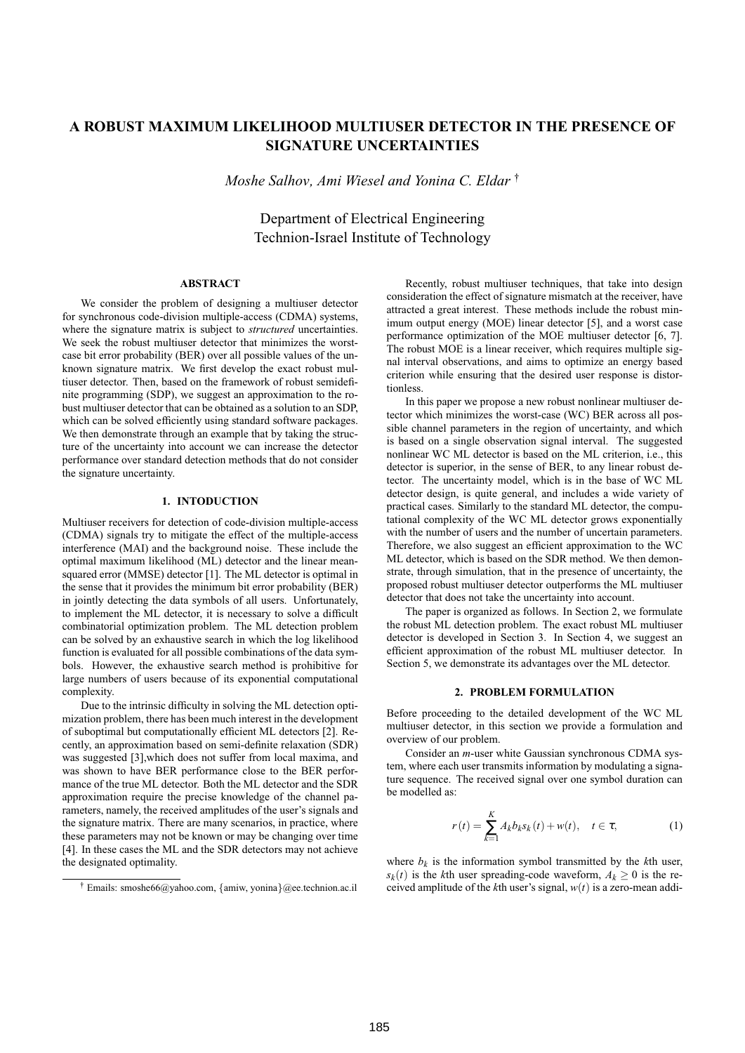# **A ROBUST MAXIMUM LIKELIHOOD MULTIUSER DETECTOR IN THE PRESENCE OF SIGNATURE UNCERTAINTIES**

*Moshe Salhov, Ami Wiesel and Yonina C. Eldar* †

Department of Electrical Engineering Technion-Israel Institute of Technology

## **ABSTRACT**

We consider the problem of designing a multiuser detector for synchronous code-division multiple-access (CDMA) systems, where the signature matrix is subject to *structured* uncertainties. We seek the robust multiuser detector that minimizes the worstcase bit error probability (BER) over all possible values of the unknown signature matrix. We first develop the exact robust multiuser detector. Then, based on the framework of robust semidefinite programming (SDP), we suggest an approximation to the robust multiuser detector that can be obtained as a solution to an SDP, which can be solved efficiently using standard software packages. We then demonstrate through an example that by taking the structure of the uncertainty into account we can increase the detector performance over standard detection methods that do not consider the signature uncertainty.

#### **1. INTODUCTION**

Multiuser receivers for detection of code-division multiple-access (CDMA) signals try to mitigate the effect of the multiple-access interference (MAI) and the background noise. These include the optimal maximum likelihood (ML) detector and the linear meansquared error (MMSE) detector [1]. The ML detector is optimal in the sense that it provides the minimum bit error probability (BER) in jointly detecting the data symbols of all users. Unfortunately, to implement the ML detector, it is necessary to solve a difficult combinatorial optimization problem. The ML detection problem can be solved by an exhaustive search in which the log likelihood function is evaluated for all possible combinations of the data symbols. However, the exhaustive search method is prohibitive for large numbers of users because of its exponential computational complexity.

Due to the intrinsic difficulty in solving the ML detection optimization problem, there has been much interest in the development of suboptimal but computationally efficient ML detectors [2]. Recently, an approximation based on semi-definite relaxation (SDR) was suggested [3],which does not suffer from local maxima, and was shown to have BER performance close to the BER performance of the true ML detector. Both the ML detector and the SDR approximation require the precise knowledge of the channel parameters, namely, the received amplitudes of the user's signals and the signature matrix. There are many scenarios, in practice, where these parameters may not be known or may be changing over time [4]. In these cases the ML and the SDR detectors may not achieve the designated optimality.

Recently, robust multiuser techniques, that take into design consideration the effect of signature mismatch at the receiver, have attracted a great interest. These methods include the robust minimum output energy (MOE) linear detector [5], and a worst case performance optimization of the MOE multiuser detector [6, 7]. The robust MOE is a linear receiver, which requires multiple signal interval observations, and aims to optimize an energy based criterion while ensuring that the desired user response is distortionless.

In this paper we propose a new robust nonlinear multiuser detector which minimizes the worst-case (WC) BER across all possible channel parameters in the region of uncertainty, and which is based on a single observation signal interval. The suggested nonlinear WC ML detector is based on the ML criterion, i.e., this detector is superior, in the sense of BER, to any linear robust detector. The uncertainty model, which is in the base of WC ML detector design, is quite general, and includes a wide variety of practical cases. Similarly to the standard ML detector, the computational complexity of the WC ML detector grows exponentially with the number of users and the number of uncertain parameters. Therefore, we also suggest an efficient approximation to the WC ML detector, which is based on the SDR method. We then demonstrate, through simulation, that in the presence of uncertainty, the proposed robust multiuser detector outperforms the ML multiuser detector that does not take the uncertainty into account.

The paper is organized as follows. In Section 2, we formulate the robust ML detection problem. The exact robust ML multiuser detector is developed in Section 3. In Section 4, we suggest an efficient approximation of the robust ML multiuser detector. In Section 5, we demonstrate its advantages over the ML detector.

#### **2. PROBLEM FORMULATION**

Before proceeding to the detailed development of the WC ML multiuser detector, in this section we provide a formulation and overview of our problem.

Consider an *m*-user white Gaussian synchronous CDMA system, where each user transmits information by modulating a signature sequence. The received signal over one symbol duration can be modelled as:

$$
r(t) = \sum_{k=1}^{K} A_k b_k s_k(t) + w(t), \quad t \in \tau,
$$
 (1)

where  $b_k$  is the information symbol transmitted by the  $k$ th user,  $s_k(t)$  is the *k*th user spreading-code waveform,  $A_k \geq 0$  is the received amplitude of the *k*th user's signal, *w*(*t*) is a zero-mean addi-

<sup>†</sup> Emails: smoshe66@yahoo.com, {amiw, yonina}@ee.technion.ac.il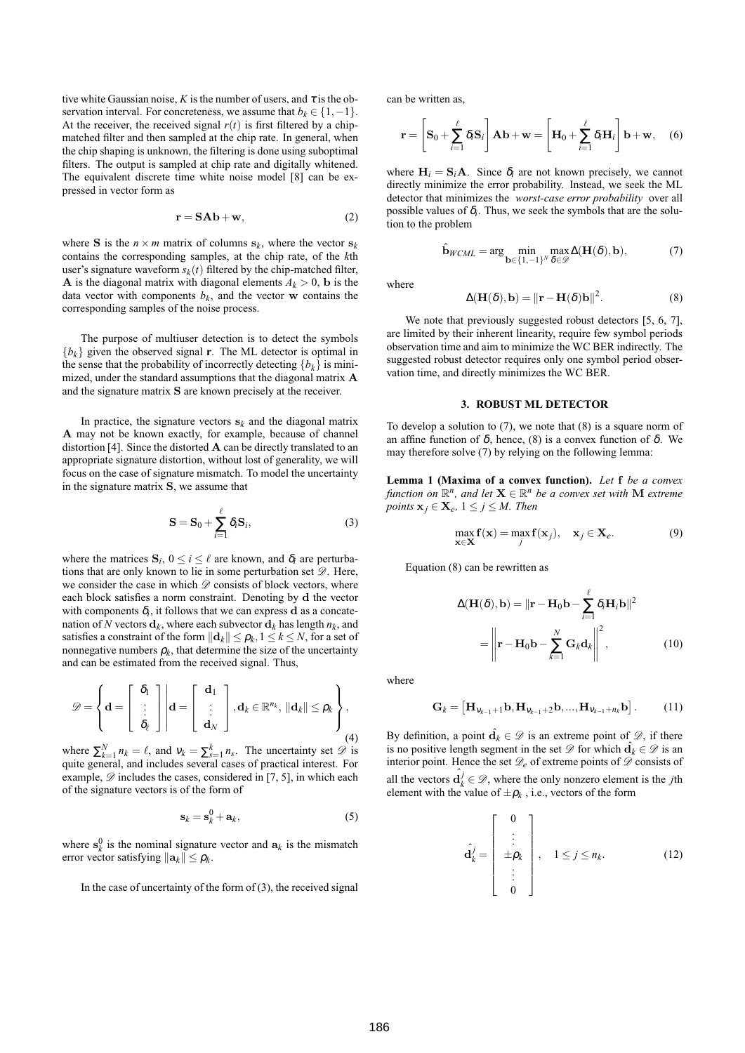tive white Gaussian noise, *K* is the number of users, and  $\tau$  is the observation interval. For concreteness, we assume that  $b_k \in \{1, -1\}$ . At the receiver, the received signal  $r(t)$  is first filtered by a chipmatched filter and then sampled at the chip rate. In general, when the chip shaping is unknown, the filtering is done using suboptimal filters. The output is sampled at chip rate and digitally whitened. The equivalent discrete time white noise model [8] can be expressed in vector form as

$$
\mathbf{r} = \mathbf{S}\mathbf{A}\mathbf{b} + \mathbf{w},\tag{2}
$$

where **S** is the  $n \times m$  matrix of columns  $s_k$ , where the vector  $s_k$ contains the corresponding samples, at the chip rate, of the *k*th user's signature waveform  $s_k(t)$  filtered by the chip-matched filter, **A** is the diagonal matrix with diagonal elements  $A_k > 0$ , **b** is the data vector with components  $b_k$ , and the vector w contains the corresponding samples of the noise process.

The purpose of multiuser detection is to detect the symbols  ${b_k}$  given the observed signal **r**. The ML detector is optimal in the sense that the probability of incorrectly detecting  ${b_k}$  is minimized, under the standard assumptions that the diagonal matrix A and the signature matrix S are known precisely at the receiver.

In practice, the signature vectors  $s_k$  and the diagonal matrix A may not be known exactly, for example, because of channel distortion [4]. Since the distorted  $A$  can be directly translated to an appropriate signature distortion, without lost of generality, we will focus on the case of signature mismatch. To model the uncertainty in the signature matrix S, we assume that

$$
\mathbf{S} = \mathbf{S}_0 + \sum_{i=1}^{\ell} \delta_i \mathbf{S}_i, \tag{3}
$$

where the matrices  $S_i$ ,  $0 \le i \le \ell$  are known, and  $\delta_i$  are perturbations that are only known to lie in some perturbation set  $\mathscr{D}$ . Here, we consider the case in which  $\mathscr D$  consists of block vectors, where each block satisfies a norm constraint. Denoting by d the vector with components  $\delta_i$ , it follows that we can express **d** as a concatenation of *N* vectors  $\mathbf{d}_k$ , where each subvector  $\mathbf{d}_k$  has length  $n_k$ , and satisfies a constraint of the form  $\|\mathbf{d}_k\| \leq \rho_k, 1 \leq k \leq N$ , for a set of nonnegative numbers  $\rho_k$ , that determine the size of the uncertainty and can be estimated from the received signal. Thus,

$$
\mathscr{D} = \left\{ \mathbf{d} = \begin{bmatrix} \delta_1 \\ \vdots \\ \delta_\ell \end{bmatrix} \middle| \mathbf{d} = \begin{bmatrix} \mathbf{d}_1 \\ \vdots \\ \mathbf{d}_N \end{bmatrix}, \mathbf{d}_k \in \mathbb{R}^{n_k}, \|\mathbf{d}_k\| \leq \rho_k \right\},\tag{4}
$$

where  $\sum_{k=1}^{N} n_k = \ell$ , and  $v_k = \sum_{s=1}^{k} n_s$ . The uncertainty set  $\mathscr{D}$  is quite general, and includes several cases of practical interest. For example,  $\mathscr{D}$  includes the cases, considered in [7, 5], in which each of the signature vectors is of the form of

$$
\mathbf{s}_k = \mathbf{s}_k^0 + \mathbf{a}_k,\tag{5}
$$

where  $s_k^0$  is the nominal signature vector and  $a_k$  is the mismatch error vector satisfying  $\|\mathbf{a}_k\| \leq \rho_k$ .

In the case of uncertainty of the form of  $(3)$ , the received signal

can be written as,

$$
\mathbf{r} = \left[\mathbf{S}_0 + \sum_{i=1}^{\ell} \delta_i \mathbf{S}_i\right] \mathbf{A} \mathbf{b} + \mathbf{w} = \left[\mathbf{H}_0 + \sum_{i=1}^{\ell} \delta_i \mathbf{H}_i\right] \mathbf{b} + \mathbf{w}, \quad (6)
$$

where  $H_i = S_i A$ . Since  $\delta_i$  are not known precisely, we cannot directly minimize the error probability. Instead, we seek the ML detector that minimizes the *worst-case error probability* over all possible values of  $\delta_i$ . Thus, we seek the symbols that are the solution to the problem

$$
\hat{\mathbf{b}}_{WCML} = \arg\min_{\mathbf{b}\in\{1,-1\}^N} \max_{\delta\in\mathcal{D}} \Delta(\mathbf{H}(\delta), \mathbf{b}),\tag{7}
$$

where

$$
\Delta(\mathbf{H}(\delta), \mathbf{b}) = ||\mathbf{r} - \mathbf{H}(\delta)\mathbf{b}||^2.
$$
 (8)

We note that previously suggested robust detectors [5, 6, 7], are limited by their inherent linearity, require few symbol periods observation time and aim to minimize the WC BER indirectly. The suggested robust detector requires only one symbol period observation time, and directly minimizes the WC BER.

## **3. ROBUST ML DETECTOR**

To develop a solution to  $(7)$ , we note that  $(8)$  is a square norm of an affine function of δ, hence, (8) is a convex function of δ. We may therefore solve (7) by relying on the following lemma:

**Lemma 1 (Maxima of a convex function).** *Let* f *be a convex function on*  $\mathbb{R}^n$ *, and let*  $\mathbf{X} \in \mathbb{R}^n$  *be a convex set with*  $\mathbf{M}$  *extreme points*  $\mathbf{x}_j \in \mathbf{X}_e$ ,  $1 \leq j \leq M$ . Then

$$
\max_{\mathbf{x}\in\mathbf{X}} \mathbf{f}(\mathbf{x}) = \max_{j} \mathbf{f}(\mathbf{x}_{j}), \quad \mathbf{x}_{j} \in \mathbf{X}_{e}.
$$
 (9)

Equation (8) can be rewritten as

$$
\Delta(\mathbf{H}(\delta), \mathbf{b}) = \|\mathbf{r} - \mathbf{H}_0 \mathbf{b} - \sum_{i=1}^{\ell} \delta_i \mathbf{H}_i \mathbf{b} \|^2
$$

$$
= \left\| \mathbf{r} - \mathbf{H}_0 \mathbf{b} - \sum_{k=1}^{N} \mathbf{G}_k \mathbf{d}_k \right\|^2, \qquad (10)
$$

where

$$
\mathbf{G}_k = \left[ \mathbf{H}_{\mathbf{v}_{k-1}+1} \mathbf{b}, \mathbf{H}_{\mathbf{v}_{k-1}+2} \mathbf{b}, ..., \mathbf{H}_{\mathbf{v}_{k-1}+n_k} \mathbf{b} \right].
$$
 (11)

By definition, a point  $\hat{\mathbf{d}}_k \in \mathcal{D}$  is an extreme point of  $\mathcal{D}$ , if there is no positive length segment in the set  $\mathscr{D}$  for which  $\hat{\mathbf{d}}_k \in \mathscr{D}$  is an interior point. Hence the set  $\mathcal{D}_e$  of extreme points of  $\mathcal D$  consists of all the vectors  $\hat{\mathbf{d}}_k^j \in \mathcal{D}$ , where the only nonzero element is the *j*th element with the value of  $\pm \rho_k$ , i.e., vectors of the form

$$
\hat{\mathbf{d}}_k^j = \begin{bmatrix} 0 \\ \vdots \\ \pm \rho_k \\ \vdots \\ 0 \end{bmatrix}, \quad 1 \le j \le n_k. \tag{12}
$$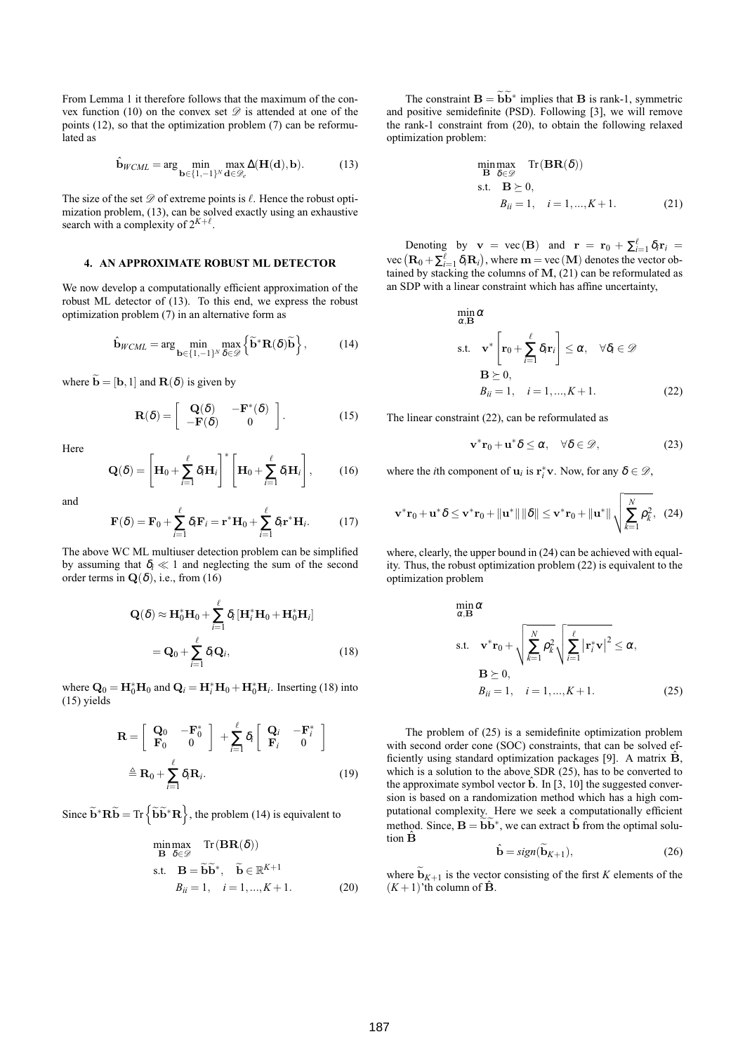From Lemma 1 it therefore follows that the maximum of the convex function (10) on the convex set  $\mathscr D$  is attended at one of the points (12), so that the optimization problem (7) can be reformulated as

$$
\hat{\mathbf{b}}_{\text{WCML}} = \arg\min_{\mathbf{b}\in\{1,-1\}^N} \max_{\mathbf{d}\in\mathcal{D}_e} \Delta(\mathbf{H}(\mathbf{d}),\mathbf{b}).\tag{13}
$$

The size of the set  $\mathscr D$  of extreme points is  $\ell$ . Hence the robust optimization problem, (13), can be solved exactly using an exhaustive search with a complexity of  $2^{K+\ell}$ .

### **4. AN APPROXIMATE ROBUST ML DETECTOR**

We now develop a computationally efficient approximation of the robust ML detector of (13). To this end, we express the robust optimization problem (7) in an alternative form as

$$
\hat{\mathbf{b}}_{WCML} = \arg\min_{\mathbf{b}\in\{1,-1\}^N} \max_{\delta\in\mathscr{D}} \left\{ \widetilde{\mathbf{b}}^* \mathbf{R}(\delta) \widetilde{\mathbf{b}} \right\},\tag{14}
$$

where  $\widetilde{\mathbf{b}} = [\mathbf{b}, 1]$  and  $\mathbf{R}(\delta)$  is given by

$$
\mathbf{R}(\delta) = \begin{bmatrix} \mathbf{Q}(\delta) & -\mathbf{F}^*(\delta) \\ -\mathbf{F}(\delta) & 0 \end{bmatrix}.
$$
 (15)

Here

$$
\mathbf{Q}(\delta) = \left[\mathbf{H}_0 + \sum_{i=1}^{\ell} \delta_i \mathbf{H}_i\right]^* \left[\mathbf{H}_0 + \sum_{i=1}^{\ell} \delta_i \mathbf{H}_i\right],\tag{16}
$$

and

$$
\mathbf{F}(\delta) = \mathbf{F}_0 + \sum_{i=1}^{\ell} \delta_i \mathbf{F}_i = \mathbf{r}^* \mathbf{H}_0 + \sum_{i=1}^{\ell} \delta_i \mathbf{r}^* \mathbf{H}_i.
$$
 (17)

The above WC ML multiuser detection problem can be simplified by assuming that  $\delta_i \ll 1$  and neglecting the sum of the second order terms in  $\mathbf{Q}(\delta)$ , i.e., from (16)

$$
\mathbf{Q}(\delta) \approx \mathbf{H}_0^* \mathbf{H}_0 + \sum_{i=1}^{\ell} \delta_i [\mathbf{H}_i^* \mathbf{H}_0 + \mathbf{H}_0^* \mathbf{H}_i]
$$
  
=  $\mathbf{Q}_0 + \sum_{i=1}^{\ell} \delta_i \mathbf{Q}_i$ , (18)

where  $\mathbf{Q}_0 = \mathbf{H}_0^* \mathbf{H}_0$  and  $\mathbf{Q}_i = \mathbf{H}_i^* \mathbf{H}_0 + \mathbf{H}_0^* \mathbf{H}_i$ . Inserting (18) into (15) yields

$$
\mathbf{R} = \begin{bmatrix} \mathbf{Q}_0 & -\mathbf{F}_0^* \\ \mathbf{F}_0 & 0 \end{bmatrix} + \sum_{i=1}^{\ell} \delta_i \begin{bmatrix} \mathbf{Q}_i & -\mathbf{F}_i^* \\ \mathbf{F}_i & 0 \end{bmatrix}
$$

$$
\triangleq \mathbf{R}_0 + \sum_{i=1}^{\ell} \delta_i \mathbf{R}_i.
$$
(19)

Since  $\widetilde{\mathbf{b}}^* \mathbf{R} \widetilde{\mathbf{b}} = \text{Tr} \left\{ \widetilde{\mathbf{b}} \widetilde{\mathbf{b}}^* \mathbf{R} \right\}$ , the problem (14) is equivalent to

$$
\begin{array}{ll}\n\text{min}\max_{\mathbf{B}} & \text{Tr}\left(\mathbf{BR}(\delta)\right) \\
\text{s.t.} & \mathbf{B} = \widetilde{\mathbf{b}}\widetilde{\mathbf{b}}^*, \quad \widetilde{\mathbf{b}} \in \mathbb{R}^{K+1} \\
B_{ii} = 1, \quad i = 1, \dots, K+1.\n\end{array} \tag{20}
$$

The constraint  $\mathbf{B} = \widetilde{\mathbf{b}} \widetilde{\mathbf{b}}^*$  implies that **B** is rank-1, symmetric and positive semidefinite (PSD). Following [3], we will remove the rank-1 constraint from (20), to obtain the following relaxed optimization problem:

$$
\begin{array}{ll}\n\text{min}\max & \text{Tr}\left(\mathbf{BR}(\delta)\right) \\
\text{s.t.} & \mathbf{B} \succeq 0, \\
& B_{ii} = 1, \quad i = 1, \dots, K + 1.\n\end{array} \tag{21}
$$

Denoting by  $\mathbf{v} = \text{vec}(\mathbf{B})$  and  $\mathbf{r} = \mathbf{r}_0 + \sum_{i=1}^{\ell} \delta_i \mathbf{r}_i =$  $\text{vec}(\mathbf{R}_0 + \sum_{i=1}^{\ell} \delta_i \mathbf{R}_i)$ , where  $\mathbf{m} = \text{vec}(\mathbf{M})$  denotes the vector obtained by stacking the columns of  $M$ , (21) can be reformulated as an SDP with a linear constraint which has affine uncertainty,

$$
\min_{\alpha, \mathbf{B}} \alpha
$$
\ns.t. 
$$
\mathbf{v}^* \left[ \mathbf{r}_0 + \sum_{i=1}^{\ell} \delta_i \mathbf{r}_i \right] \leq \alpha, \quad \forall \delta_i \in \mathcal{D}
$$
\n
$$
\mathbf{B} \succeq 0,
$$
\n
$$
B_{ii} = 1, \quad i = 1, ..., K + 1.
$$
\n(22)

The linear constraint (22), can be reformulated as

$$
\mathbf{v}^*\mathbf{r}_0 + \mathbf{u}^*\delta \le \alpha, \quad \forall \delta \in \mathscr{D}, \tag{23}
$$

where the *i*th component of  $\mathbf{u}_i$  is  $\mathbf{r}_i^* \mathbf{v}$ . Now, for any  $\delta \in \mathcal{D}$ ,

$$
\mathbf{v}^*\mathbf{r}_0 + \mathbf{u}^*\delta \le \mathbf{v}^*\mathbf{r}_0 + \|\mathbf{u}^*\| \|\delta\| \le \mathbf{v}^*\mathbf{r}_0 + \|\mathbf{u}^*\| \sqrt{\sum_{k=1}^N \rho_k^2}, \quad (24)
$$

where, clearly, the upper bound in  $(24)$  can be achieved with equality. Thus, the robust optimization problem (22) is equivalent to the optimization problem

$$
\min_{\alpha, \mathbf{B}} \alpha
$$
\ns.t. 
$$
\mathbf{v}^* \mathbf{r}_0 + \sqrt{\sum_{k=1}^N \rho_k^2} \sqrt{\sum_{i=1}^\ell |\mathbf{r}_i^* \mathbf{v}|^2} \leq \alpha,
$$
\n
$$
\mathbf{B} \succeq 0,
$$
\n
$$
B_{ii} = 1, \quad i = 1, ..., K + 1.
$$
\n(25)

The problem of (25) is a semidefinite optimization problem with second order cone (SOC) constraints, that can be solved efficiently using standard optimization packages [9]. A matrix  $\hat{B}$ , which is a solution to the above SDR (25), has to be converted to the approximate symbol vector  $\hat{b}$ . In [3, 10] the suggested conversion is based on a randomization method which has a high computational complexity. Here we seek a computationally efficient method. Since,  $\mathbf{B} = \widetilde{\mathbf{b}} \widetilde{\mathbf{b}}^*$ , we can extract  $\hat{\mathbf{b}}$  from the optimal solution  $\hat{\mathbf{B}}$ 

$$
\hat{\mathbf{b}} = sign(\widetilde{\mathbf{b}}_{K+1}),\tag{26}
$$

where  $\widetilde{\mathbf{b}}_{K+1}$  is the vector consisting of the first *K* elements of the  $(K+1)$ 'th column of  $\hat{B}$ .